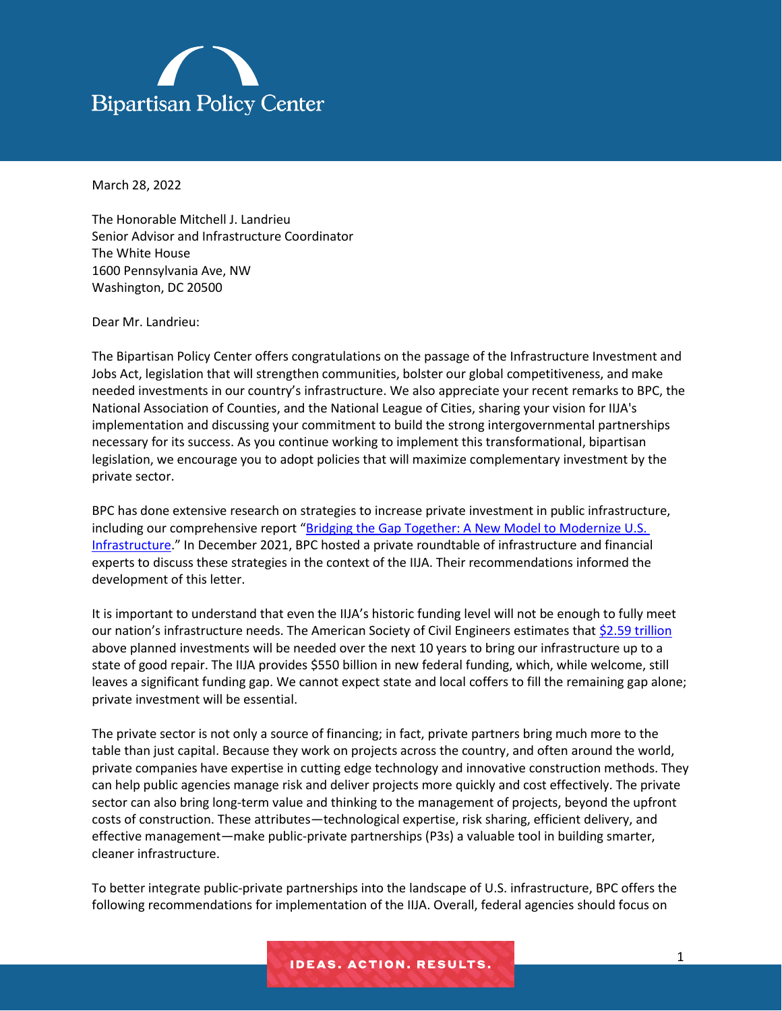

March 28, 2022

The Honorable Mitchell J. Landrieu Senior Advisor and Infrastructure Coordinator The White House 1600 Pennsylvania Ave, NW Washington, DC 20500

Dear Mr. Landrieu:

The Bipartisan Policy Center offers congratulations on the passage of the Infrastructure Investment and Jobs Act, legislation that will strengthen communities, bolster our global competitiveness, and make needed investments in our country's infrastructure. We also appreciate your recent remarks to BPC, the National Association of Counties, and the National League of Cities, sharing your vision for IIJA's implementation and discussing your commitment to build the strong intergovernmental partnerships necessary for its success. As you continue working to implement this transformational, bipartisan legislation, we encourage you to adopt policies that will maximize complementary investment by the private sector.

BPC has done extensive research on strategies to increase private investment in public infrastructure, including our comprehensive report "[Bridging the Gap Together: A New Model to Modernize U.S.](https://bipartisanpolicy.org/report/modernize-infrastructure/)  [Infrastructure](https://bipartisanpolicy.org/report/modernize-infrastructure/)." In December 2021, BPC hosted a private roundtable of infrastructure and financial experts to discuss these strategies in the context of the IIJA. Their recommendations informed the development of this letter.

It is important to understand that even the IIJA's historic funding level will not be enough to fully meet our nation's infrastructure needs. The American Society of Civil Engineers estimates that [\\$2.59 trillion](https://infrastructurereportcard.org/resources/investment-gap-2020-2029/) above planned investments will be needed over the next 10 years to bring our infrastructure up to a state of good repair. The IIJA provides \$550 billion in new federal funding, which, while welcome, still leaves a significant funding gap. We cannot expect state and local coffers to fill the remaining gap alone; private investment will be essential.

The private sector is not only a source of financing; in fact, private partners bring much more to the table than just capital. Because they work on projects across the country, and often around the world, private companies have expertise in cutting edge technology and innovative construction methods. They can help public agencies manage risk and deliver projects more quickly and cost effectively. The private sector can also bring long-term value and thinking to the management of projects, beyond the upfront costs of construction. These attributes—technological expertise, risk sharing, efficient delivery, and effective management—make public-private partnerships (P3s) a valuable tool in building smarter, cleaner infrastructure.

To better integrate public-private partnerships into the landscape of U.S. infrastructure, BPC offers the following recommendations for implementation of the IIJA. Overall, federal agencies should focus on

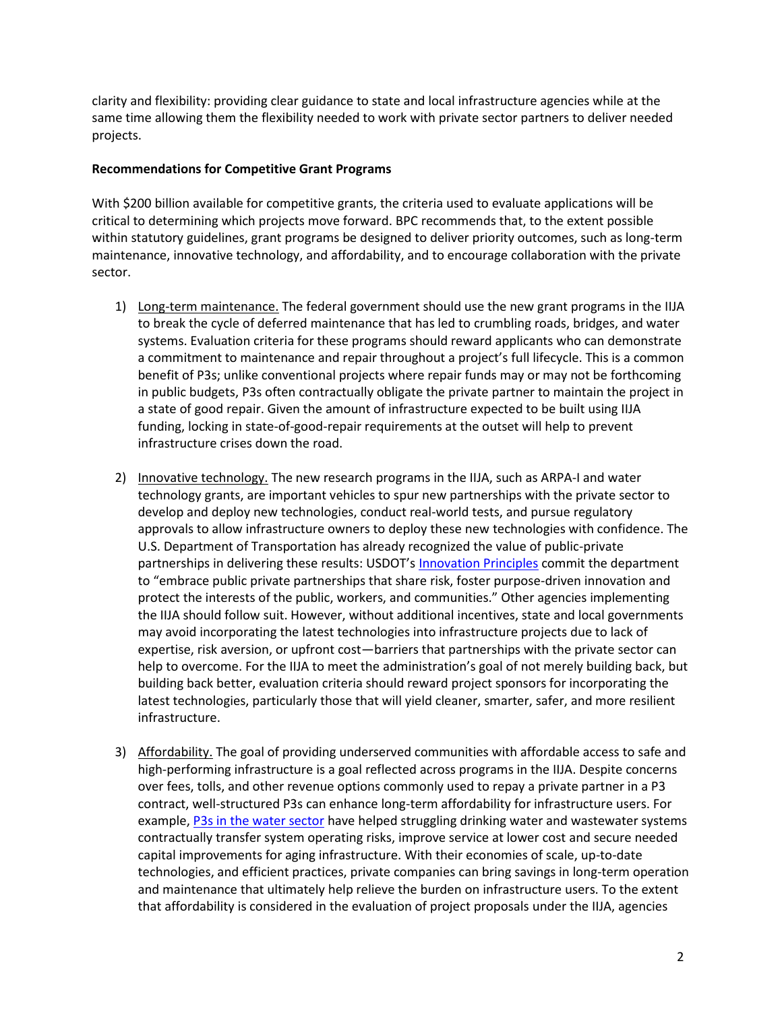clarity and flexibility: providing clear guidance to state and local infrastructure agencies while at the same time allowing them the flexibility needed to work with private sector partners to deliver needed projects.

## **Recommendations for Competitive Grant Programs**

With \$200 billion available for competitive grants, the criteria used to evaluate applications will be critical to determining which projects move forward. BPC recommends that, to the extent possible within statutory guidelines, grant programs be designed to deliver priority outcomes, such as long-term maintenance, innovative technology, and affordability, and to encourage collaboration with the private sector.

- 1) Long-term maintenance. The federal government should use the new grant programs in the IIJA to break the cycle of deferred maintenance that has led to crumbling roads, bridges, and water systems. Evaluation criteria for these programs should reward applicants who can demonstrate a commitment to maintenance and repair throughout a project's full lifecycle. This is a common benefit of P3s; unlike conventional projects where repair funds may or may not be forthcoming in public budgets, P3s often contractually obligate the private partner to maintain the project in a state of good repair. Given the amount of infrastructure expected to be built using IIJA funding, locking in state-of-good-repair requirements at the outset will help to prevent infrastructure crises down the road.
- 2) Innovative technology. The new research programs in the IIJA, such as ARPA-I and water technology grants, are important vehicles to spur new partnerships with the private sector to develop and deploy new technologies, conduct real-world tests, and pursue regulatory approvals to allow infrastructure owners to deploy these new technologies with confidence. The U.S. Department of Transportation has already recognized the value of public-private partnerships in delivering these results: USDOT's [Innovation Principles](https://www.transportation.gov/priorities/innovation/us-dot-innovation-principles) commit the department to "embrace public private partnerships that share risk, foster purpose-driven innovation and protect the interests of the public, workers, and communities." Other agencies implementing the IIJA should follow suit. However, without additional incentives, state and local governments may avoid incorporating the latest technologies into infrastructure projects due to lack of expertise, risk aversion, or upfront cost—barriers that partnerships with the private sector can help to overcome. For the IIJA to meet the administration's goal of not merely building back, but building back better, evaluation criteria should reward project sponsors for incorporating the latest technologies, particularly those that will yield cleaner, smarter, safer, and more resilient infrastructure.
- 3) Affordability. The goal of providing underserved communities with affordable access to safe and high-performing infrastructure is a goal reflected across programs in the IIJA. Despite concerns over fees, tolls, and other revenue options commonly used to repay a private partner in a P3 contract, well-structured P3s can enhance long-term affordability for infrastructure users. For example, [P3s in the water sector](https://bipartisanpolicy.org/report/safeguarding-water-affordability/) have helped struggling drinking water and wastewater systems contractually transfer system operating risks, improve service at lower cost and secure needed capital improvements for aging infrastructure. With their economies of scale, up-to-date technologies, and efficient practices, private companies can bring savings in long-term operation and maintenance that ultimately help relieve the burden on infrastructure users. To the extent that affordability is considered in the evaluation of project proposals under the IIJA, agencies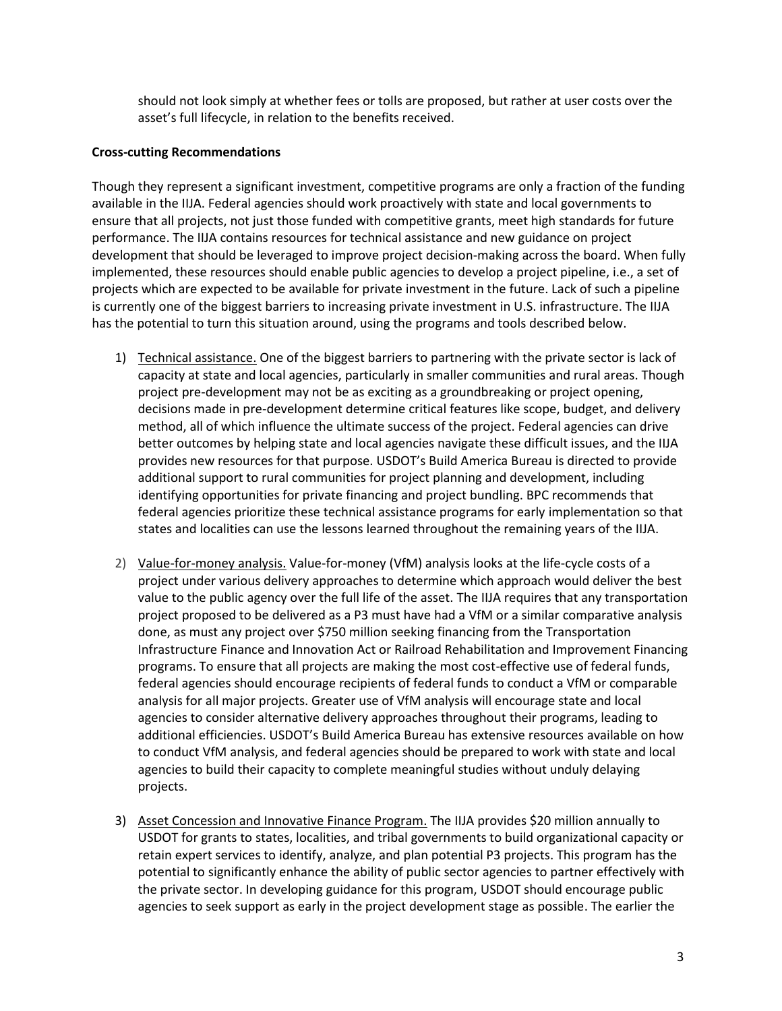should not look simply at whether fees or tolls are proposed, but rather at user costs over the asset's full lifecycle, in relation to the benefits received.

## **Cross-cutting Recommendations**

Though they represent a significant investment, competitive programs are only a fraction of the funding available in the IIJA. Federal agencies should work proactively with state and local governments to ensure that all projects, not just those funded with competitive grants, meet high standards for future performance. The IIJA contains resources for technical assistance and new guidance on project development that should be leveraged to improve project decision-making across the board. When fully implemented, these resources should enable public agencies to develop a project pipeline, i.e., a set of projects which are expected to be available for private investment in the future. Lack of such a pipeline is currently one of the biggest barriers to increasing private investment in U.S. infrastructure. The IIJA has the potential to turn this situation around, using the programs and tools described below.

- 1) Technical assistance. One of the biggest barriers to partnering with the private sector is lack of capacity at state and local agencies, particularly in smaller communities and rural areas. Though project pre-development may not be as exciting as a groundbreaking or project opening, decisions made in pre-development determine critical features like scope, budget, and delivery method, all of which influence the ultimate success of the project. Federal agencies can drive better outcomes by helping state and local agencies navigate these difficult issues, and the IIJA provides new resources for that purpose. USDOT's Build America Bureau is directed to provide additional support to rural communities for project planning and development, including identifying opportunities for private financing and project bundling. BPC recommends that federal agencies prioritize these technical assistance programs for early implementation so that states and localities can use the lessons learned throughout the remaining years of the IIJA.
- 2) Value-for-money analysis. Value-for-money (VfM) analysis looks at the life-cycle costs of a project under various delivery approaches to determine which approach would deliver the best value to the public agency over the full life of the asset. The IIJA requires that any transportation project proposed to be delivered as a P3 must have had a VfM or a similar comparative analysis done, as must any project over \$750 million seeking financing from the Transportation Infrastructure Finance and Innovation Act or Railroad Rehabilitation and Improvement Financing programs. To ensure that all projects are making the most cost-effective use of federal funds, federal agencies should encourage recipients of federal funds to conduct a VfM or comparable analysis for all major projects. Greater use of VfM analysis will encourage state and local agencies to consider alternative delivery approaches throughout their programs, leading to additional efficiencies. USDOT's Build America Bureau has extensive resources available on how to conduct VfM analysis, and federal agencies should be prepared to work with state and local agencies to build their capacity to complete meaningful studies without unduly delaying projects.
- 3) Asset Concession and Innovative Finance Program. The IIJA provides \$20 million annually to USDOT for grants to states, localities, and tribal governments to build organizational capacity or retain expert services to identify, analyze, and plan potential P3 projects. This program has the potential to significantly enhance the ability of public sector agencies to partner effectively with the private sector. In developing guidance for this program, USDOT should encourage public agencies to seek support as early in the project development stage as possible. The earlier the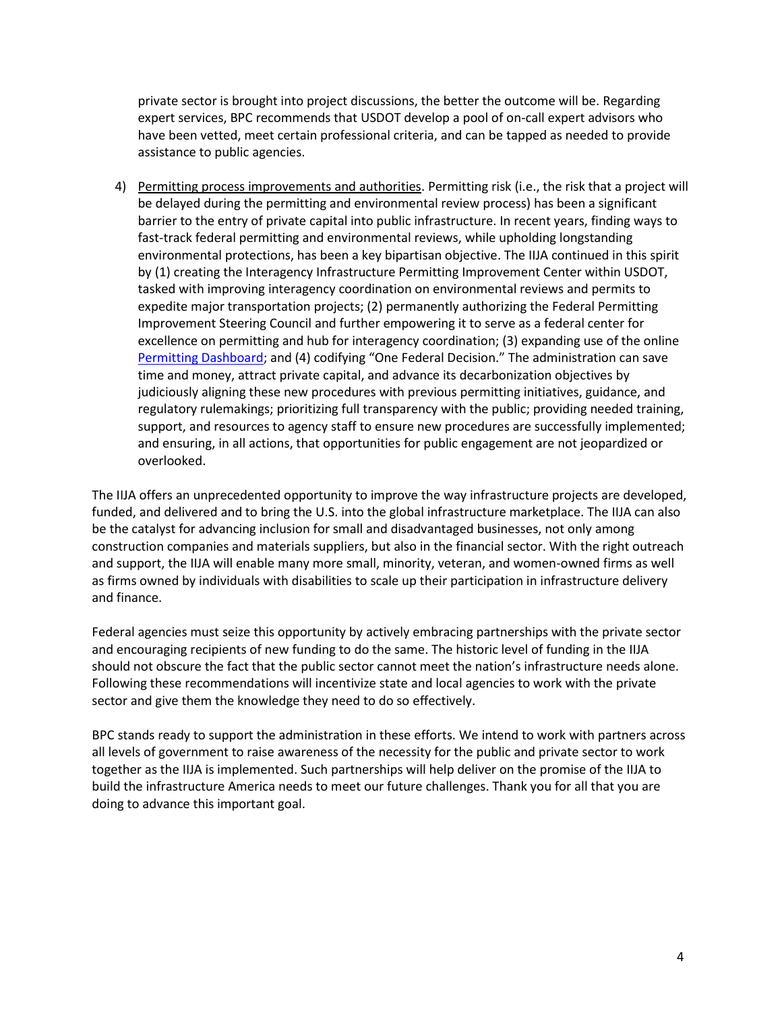private sector is brought into project discussions, the better the outcome will be. Regarding expert services, BPC recommends that USDOT develop a pool of on-call expert advisors who have been vetted, meet certain professional criteria, and can be tapped as needed to provide assistance to public agencies.

4) Permitting process improvements and authorities. Permitting risk (i.e., the risk that a project will be delayed during the permitting and environmental review process) has been a significant barrier to the entry of private capital into public infrastructure. In recent years, finding ways to fast-track federal permitting and environmental reviews, while upholding longstanding environmental protections, has been a key bipartisan objective. The IIJA continued in this spirit by (1) creating the Interagency Infrastructure Permitting Improvement Center within USDOT, tasked with improving interagency coordination on environmental reviews and permits to expedite major transportation projects; (2) permanently authorizing the Federal Permitting Improvement Steering Council and further empowering it to serve as a federal center for excellence on permitting and hub for interagency coordination; (3) expanding use of the online [Permitting Dashboard](https://www.permits.performance.gov/); and (4) codifying "One Federal Decision." The administration can save time and money, attract private capital, and advance its decarbonization objectives by judiciously aligning these new procedures with previous permitting initiatives, guidance, and regulatory rulemakings; prioritizing full transparency with the public; providing needed training, support, and resources to agency staff to ensure new procedures are successfully implemented; and ensuring, in all actions, that opportunities for public engagement are not jeopardized or overlooked.

The IIJA offers an unprecedented opportunity to improve the way infrastructure projects are developed, funded, and delivered and to bring the U.S. into the global infrastructure marketplace. The IIJA can also be the catalyst for advancing inclusion for small and disadvantaged businesses, not only among construction companies and materials suppliers, but also in the financial sector. With the right outreach and support, the IIJA will enable many more small, minority, veteran, and women-owned firms as well as firms owned by individuals with disabilities to scale up their participation in infrastructure delivery and finance.

Federal agencies must seize this opportunity by actively embracing partnerships with the private sector and encouraging recipients of new funding to do the same. The historic level of funding in the IIJA should not obscure the fact that the public sector cannot meet the nation's infrastructure needs alone. Following these recommendations will incentivize state and local agencies to work with the private sector and give them the knowledge they need to do so effectively.

BPC stands ready to support the administration in these efforts. We intend to work with partners across all levels of government to raise awareness of the necessity for the public and private sector to work together as the IIJA is implemented. Such partnerships will help deliver on the promise of the IIJA to build the infrastructure America needs to meet our future challenges. Thank you for all that you are doing to advance this important goal.